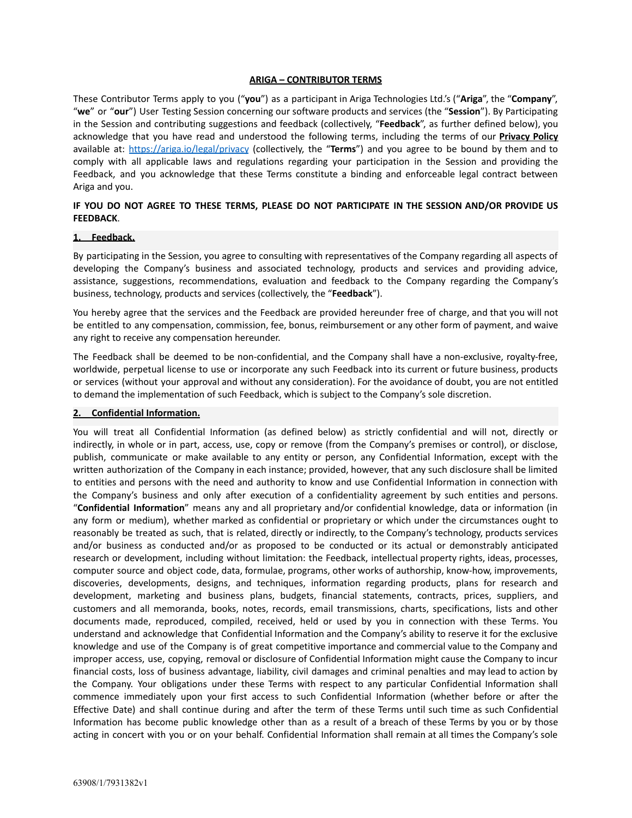#### **ARIGA – CONTRIBUTOR TERMS**

These Contributor Terms apply to you ("**you**") as a participant in Ariga Technologies Ltd.'s ("**Ariga**", the "**Company**", "**we**" or "**our**") User Testing Session concerning our software products and services (the "**Session**"). By Participating in the Session and contributing suggestions and feedback (collectively, "**Feedback**", as further defined below), you acknowledge that you have read and understood the following terms, including the terms of our **Privacy Policy** available at: <https://ariga.io/legal/privacy> (collectively, the "**Terms**") and you agree to be bound by them and to comply with all applicable laws and regulations regarding your participation in the Session and providing the Feedback, and you acknowledge that these Terms constitute a binding and enforceable legal contract between Ariga and you.

# **IF YOU DO NOT AGREE TO THESE TERMS, PLEASE DO NOT PARTICIPATE IN THE SESSION AND/OR PROVIDE US FEEDBACK**.

#### **1. Feedback.**

By participating in the Session, you agree to consulting with representatives of the Company regarding all aspects of developing the Company's business and associated technology, products and services and providing advice, assistance, suggestions, recommendations, evaluation and feedback to the Company regarding the Company's business, technology, products and services (collectively, the "**Feedback**").

You hereby agree that the services and the Feedback are provided hereunder free of charge, and that you will not be entitled to any compensation, commission, fee, bonus, reimbursement or any other form of payment, and waive any right to receive any compensation hereunder.

The Feedback shall be deemed to be non-confidential, and the Company shall have a non-exclusive, royalty-free, worldwide, perpetual license to use or incorporate any such Feedback into its current or future business, products or services (without your approval and without any consideration). For the avoidance of doubt, you are not entitled to demand the implementation of such Feedback, which is subject to the Company's sole discretion.

#### **2. Confidential Information.**

You will treat all Confidential Information (as defined below) as strictly confidential and will not, directly or indirectly, in whole or in part, access, use, copy or remove (from the Company's premises or control), or disclose, publish, communicate or make available to any entity or person, any Confidential Information, except with the written authorization of the Company in each instance; provided, however, that any such disclosure shall be limited to entities and persons with the need and authority to know and use Confidential Information in connection with the Company's business and only after execution of a confidentiality agreement by such entities and persons. "**Confidential Information**" means any and all proprietary and/or confidential knowledge, data or information (in any form or medium), whether marked as confidential or proprietary or which under the circumstances ought to reasonably be treated as such, that is related, directly or indirectly, to the Company's technology, products services and/or business as conducted and/or as proposed to be conducted or its actual or demonstrably anticipated research or development, including without limitation: the Feedback, intellectual property rights, ideas, processes, computer source and object code, data, formulae, programs, other works of authorship, know-how, improvements, discoveries, developments, designs, and techniques, information regarding products, plans for research and development, marketing and business plans, budgets, financial statements, contracts, prices, suppliers, and customers and all memoranda, books, notes, records, email transmissions, charts, specifications, lists and other documents made, reproduced, compiled, received, held or used by you in connection with these Terms. You understand and acknowledge that Confidential Information and the Company's ability to reserve it for the exclusive knowledge and use of the Company is of great competitive importance and commercial value to the Company and improper access, use, copying, removal or disclosure of Confidential Information might cause the Company to incur financial costs, loss of business advantage, liability, civil damages and criminal penalties and may lead to action by the Company. Your obligations under these Terms with respect to any particular Confidential Information shall commence immediately upon your first access to such Confidential Information (whether before or after the Effective Date) and shall continue during and after the term of these Terms until such time as such Confidential Information has become public knowledge other than as a result of a breach of these Terms by you or by those acting in concert with you or on your behalf. Confidential Information shall remain at all times the Company's sole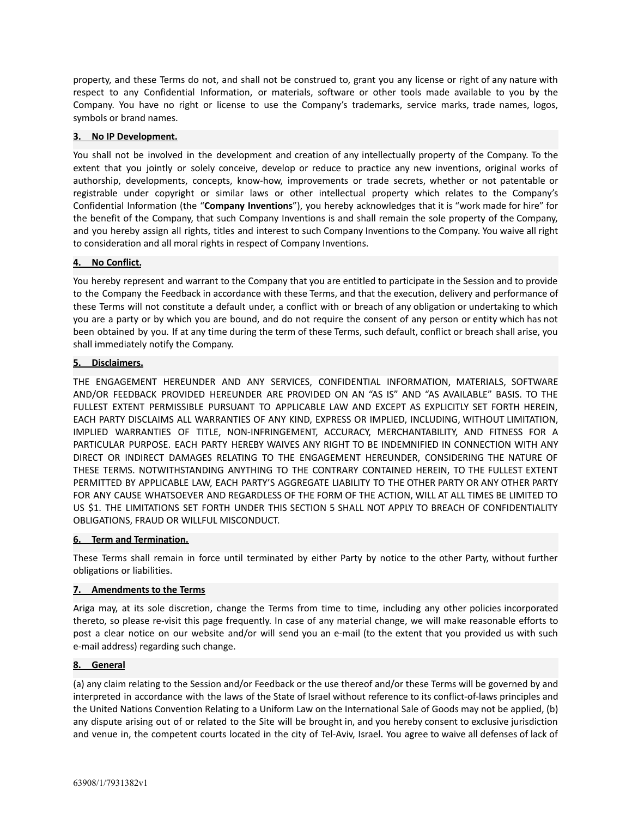property, and these Terms do not, and shall not be construed to, grant you any license or right of any nature with respect to any Confidential Information, or materials, software or other tools made available to you by the Company. You have no right or license to use the Company's trademarks, service marks, trade names, logos, symbols or brand names.

## **3. No IP Development.**

You shall not be involved in the development and creation of any intellectually property of the Company. To the extent that you jointly or solely conceive, develop or reduce to practice any new inventions, original works of authorship, developments, concepts, know-how, improvements or trade secrets, whether or not patentable or registrable under copyright or similar laws or other intellectual property which relates to the Company's Confidential Information (the "**Company Inventions**"), you hereby acknowledges that it is "work made for hire" for the benefit of the Company, that such Company Inventions is and shall remain the sole property of the Company, and you hereby assign all rights, titles and interest to such Company Inventions to the Company. You waive all right to consideration and all moral rights in respect of Company Inventions.

## **4. No Conflict.**

You hereby represent and warrant to the Company that you are entitled to participate in the Session and to provide to the Company the Feedback in accordance with these Terms, and that the execution, delivery and performance of these Terms will not constitute a default under, a conflict with or breach of any obligation or undertaking to which you are a party or by which you are bound, and do not require the consent of any person or entity which has not been obtained by you. If at any time during the term of these Terms, such default, conflict or breach shall arise, you shall immediately notify the Company.

## **5. Disclaimers.**

THE ENGAGEMENT HEREUNDER AND ANY SERVICES, CONFIDENTIAL INFORMATION, MATERIALS, SOFTWARE AND/OR FEEDBACK PROVIDED HEREUNDER ARE PROVIDED ON AN "AS IS" AND "AS AVAILABLE" BASIS. TO THE FULLEST EXTENT PERMISSIBLE PURSUANT TO APPLICABLE LAW AND EXCEPT AS EXPLICITLY SET FORTH HEREIN, EACH PARTY DISCLAIMS ALL WARRANTIES OF ANY KIND, EXPRESS OR IMPLIED, INCLUDING, WITHOUT LIMITATION, IMPLIED WARRANTIES OF TITLE, NON-INFRINGEMENT, ACCURACY, MERCHANTABILITY, AND FITNESS FOR A PARTICULAR PURPOSE. EACH PARTY HEREBY WAIVES ANY RIGHT TO BE INDEMNIFIED IN CONNECTION WITH ANY DIRECT OR INDIRECT DAMAGES RELATING TO THE ENGAGEMENT HEREUNDER, CONSIDERING THE NATURE OF THESE TERMS. NOTWITHSTANDING ANYTHING TO THE CONTRARY CONTAINED HEREIN, TO THE FULLEST EXTENT PERMITTED BY APPLICABLE LAW, EACH PARTY'S AGGREGATE LIABILITY TO THE OTHER PARTY OR ANY OTHER PARTY FOR ANY CAUSE WHATSOEVER AND REGARDLESS OF THE FORM OF THE ACTION, WILL AT ALL TIMES BE LIMITED TO US \$1. THE LIMITATIONS SET FORTH UNDER THIS SECTION 5 SHALL NOT APPLY TO BREACH OF CONFIDENTIALITY OBLIGATIONS, FRAUD OR WILLFUL MISCONDUCT.

#### **6. Term and Termination.**

These Terms shall remain in force until terminated by either Party by notice to the other Party, without further obligations or liabilities.

#### **7. Amendments to the Terms**

Ariga may, at its sole discretion, change the Terms from time to time, including any other policies incorporated thereto, so please re-visit this page frequently. In case of any material change, we will make reasonable efforts to post a clear notice on our website and/or will send you an e-mail (to the extent that you provided us with such e-mail address) regarding such change.

# **8. General**

(a) any claim relating to the Session and/or Feedback or the use thereof and/or these Terms will be governed by and interpreted in accordance with the laws of the State of Israel without reference to its conflict-of-laws principles and the United Nations Convention Relating to a Uniform Law on the International Sale of Goods may not be applied, (b) any dispute arising out of or related to the Site will be brought in, and you hereby consent to exclusive jurisdiction and venue in, the competent courts located in the city of Tel-Aviv, Israel. You agree to waive all defenses of lack of